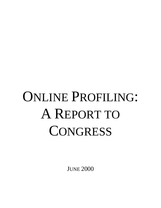# ONLINE PROFILING: A REPORT TO **CONGRESS**

JUNE 2000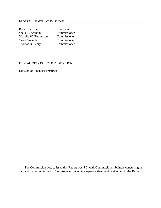# FEDERAL TRADE COMMISSION\*

| <b>Robert Pitofsky</b> | Chairman     |
|------------------------|--------------|
| Sheila F. Anthony      | Commissioner |
| Mozelle W. Thompson    | Commissioner |
| <b>Orson Swindle</b>   | Commissioner |
| Thomas B. Leary        | Commissioner |

# BUREAU OF CONSUMER PROTECTION

Division of Financial Practices

\* The Commission vote to issue this Report was 5-0, with Commissioner Swindle concurring in part and dissenting in part. Commissioner Swindle's separate statement is attached to the Report.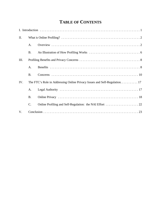# **TABLE OF CONTENTS**

| II.  |                                                                            |  |
|------|----------------------------------------------------------------------------|--|
|      | A.                                                                         |  |
|      | <b>B.</b>                                                                  |  |
| III. |                                                                            |  |
|      | A.                                                                         |  |
|      | <b>B.</b>                                                                  |  |
| IV.  | The FTC's Role in Addressing Online Privacy Issues and Self-Regulation. 17 |  |
|      | A.                                                                         |  |
|      | <b>B.</b>                                                                  |  |
|      | $\mathcal{C}$ .                                                            |  |
| V.   |                                                                            |  |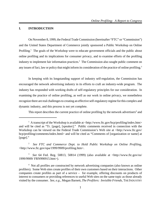#### **I. INTRODUCTION**

On November 8, 1999, the Federal Trade Commission (hereinafter "FTC" or "Commission") and the United States Department of Commerce jointly sponsored a Public Workshop on Online Profiling.<sup>1</sup> The goals of the Workshop were to educate government officials and the public about online profiling and its implications for consumer privacy, and to examine efforts of the profiling industry to implement fair information practices.<sup>2</sup> The Commission also sought public comment on any issues of fact, law or policy that might inform its consideration of the practice of online profiling.<sup>3</sup>

In keeping with its longstanding support of industry self-regulation, the Commission has encouraged the network advertising industry in its efforts to craft an industry-wide program. The industry has responded with working drafts of self-regulatory principles for our consideration. In examining the practice of online profiling, as well as our work in online privacy, we nonetheless recognize there are real challenges to creating an effective self-regulatory regime for this complex and dynamic industry, and this process is not yet complete.

This report describes the current practice of online profiling by the network advertisers<sup>4</sup> and

<sup>&</sup>lt;sup>1</sup> A transcript of the Workshop is available at <http://www.ftc.gov/bcp/profiling/index.htm> and will be cited as "Tr. [page], [speaker]." Public comments received in connection with the Workshop can be viewed on the Federal Trade Commission's Web site at <http://www.ftc.gov/ bcp/profiling/comments/index.html> and will be cited as "Comments of [organization or name] at [page]."

<sup>2</sup> *See FTC and Commerce Dept. to Hold Public Workshop on Online Profiling*, <http://www.ftc.gov/opa/1999/9909/profiling.htm>.

<sup>3</sup> *See* 64 Fed. Reg. 50813, 50814 (1999) (also available at <http://www.ftc.gov/os/ 1999/9909/ FRN990915.htm>).

<sup>&</sup>lt;sup>4</sup> Not all profiles are constructed by network advertising companies (also known as online profilers). Some Web sites create profiles of their own customers based on their interactions. Other companies create profiles as part of a service – for example, offering discounts on products of interest to consumers or providing references to useful Web sites on the same topic as those already visited by the consumer. *See, e.g.*, Megan Barnett, *The Profilers: Invisible Friends*, THEINDUSTRY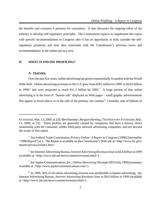the benefits and concerns it presents for consumers. It also discusses the ongoing effort of the industry to develop self-regulatory principles. The Commission expects to supplement this report with specific recommendations to Congress after it has an opportunity to fully consider the selfregulatory proposals and how they interrelate with the Commission's previous views and recommendations in the online privacy area.

#### **II. WHAT IS ONLINE PROFILING?**

#### **A. Overview**

Over the past few years, online advertising has grown exponentially in tandem with the World Wide Web. Online advertising revenues in the U.S. grew from \$301 million in 1996<sup>5</sup> to \$4.62 billion in 1999,<sup>6</sup> and were projected to reach \$11.5 billion by 2003.<sup>7</sup> A large portion of that online advertising is in the form of "banner ads" displayed on Web pages – small graphic advertisements that appear in boxes above or to the side of the primary site content.<sup>8</sup> Currently, tens of billions of

6 *See* Internet Advertising Bureau,*Internet Advertising Revenues Soar to \$4.6 billion in 1999* (available at <http://www.iab.net/news/content/revenues.html>).

7 *See* Jupiter Communications, Inc., *Online Advertising Through 2003* (July 1999) (summary available at <http://www.jupitercommunications.com>).

STANDARD, Mar. 13, 2000, at 220; Ben Hammer, *Bargain Hunting*, THEINDUSTRYSTANDARD, Mar. 13, 2000, at 232. These profiles are generally created by companies that have a known, direct relationship with the consumer, unlike third-party network advertising companies, and are beyond the scope of this report.

<sup>5</sup> *See* Federal Trade Commission, *Privacy Online: A Report to Congress* (1998) [hereinafter "1998 Report"] at 3. The Report is available on the Commission's Web site at <http://www.ftc.gov/ reports/privacy3/index.htm>.

<sup>8</sup> In 1999, 56% of all online advertising revenue was attributable to banner advertising. *See* Internet Advertising Bureau, *Internet Advertising Revenues Soar to \$4.6 billion in 1999* (available at <http://www.iab.net/news/content/revenues.html>).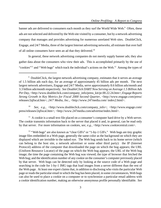banner ads are delivered to consumers each month as they surf the World Wide Web.<sup>9</sup> Often, these ads are not selected and delivered by the Web site visited by a consumer, but by a network advertising company that manages and provides advertising for numerous unrelated Web sites. DoubleClick, Engage, and 24/7 Media, three of the largest Internet advertising networks, all estimate that over half of all online consumers have seen an ad that they delivered.<sup>10</sup>

In general, these network advertising companies do not merely supply banner ads; they also gather data about the consumers who view their ads. This is accomplished primarily by the use of "cookies"<sup>11</sup> and "Web bugs" which track the individual's actions on the Web.<sup>12</sup> Among the types of

<sup>10</sup> *See, e.g.*, <http://www.doubleclick.com/company\_info>; <http://www.engage.com/ press/releases/2qfiscal.htm>; <http://www.247media.com/advertise/index.html>.

 $11$  A cookie is a small text file placed on a consumer's computer hard drive by a Web server. The cookie transmits information back to the server that placed it and, in general, can be read only by that server. For more information on cookies, *see, e.g.,* <http://www.cookiecentral.com>.

<sup>12</sup> "Web bugs" are also known as "clear GIFs" or "1-by-1 GIFs." Web bugs are tiny graphic image files embedded in a Web page, generally the same color as the background on which they are displayed which are invisible to the naked eye. The Web bug sends back to its home server (which can belong to the host site, a network advertiser or some other third party): the IP (Internet Protocol) address of the computer that downloaded the page on which the bug appears; the URL (Uniform Resource Locator) of the page on which the Web bug appears; the URL of the Web bug image; the time the page containing the Web bug was viewed; the type of browser that fetched the Web bug; and the identification number of any cookie on the consumer's computer previously placed by that server. Web bugs can be detected only by looking at the source code of a Web page and searching in the code for 1-by-1 IMG tags that load images from a server different than the rest of the Web page. At least one expert claims that, in addition to disclosing who visits the particular Web page or reads the particular email in which the bug has been placed, in some circumstances, Web bugs can also be used to place a cookie on a computer or to synchronize a particular email address with a cookie identification number, making an otherwise anonymous profile personally identifiable. *See*

<sup>&</sup>lt;sup>9</sup> DoubleClick, the largest network advertising company, estimates that it serves an average of 1.5 billion ads each day, for an average of approximately 45 billion ads per month. The next largest network advertisers, Engage and 24/7 Media, serve approximately 8.6 billion ads/month and 3.3 billion ads/month respectively. *See DoubleClick DART Now Serving on Average 1.5 Billion Ads Per Day*, <http://www.doubleclick.com/company\_info/press\_kit/pr.00.22.24.htm>;*Engage Reports Strong Growth in Key Metrics for Fiscal 2000 Second Quarter*, <http://www.engage.com/press/ releases/2qfiscal.htm>; *24/7 Media, Inc.*, <http://www.247media.com/ index2.html>.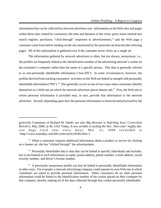information that can be collected by network advertisers are: information on the Web sites and pages within those sites visited by consumers; the time and duration of the visits; query terms entered into search engines; purchases; "click-through" responses to advertisements;<sup>13</sup> and the Web page a consumer came from before landing on the site monitored by the particular ad network (the referring page). All of this information is gathered even if the consumer never clicks on a single ad.

The information gathered by network advertisers is often, but not always, anonymous, *i.e.*, the profiles are frequently linked to the identification number of the advertising network's cookie on the consumer's computer rather than the name of a specific person. This data is generally referred to as non-personally identifiable information ("non-PII"). In some circumstances, however, the profiles derived from tracking consumers' activities on the Web are linked or merged with personally identifiable information ("PII").<sup>14</sup> This generally occurs in one of two ways when consumers identify themselves to a Web site on which the network advertiser places banner ads.<sup>15</sup> First, the Web site to whom personal information is provided may, in turn, provide that information to the network advertiser. Second, depending upon how the personal information is retrieved and processed by the

*generally* Comments of Richard M. Smith; *see also Big Browser is Watching You!*, CONSUMER REPORTS, May 2000, at 46; USA Today, *A new wrinkle in surfing the Net: Dot-coms' mighty dotsize bugs track your every move*, Mar. 21, 2000 (available at <http://www.usatoday.com/life/cyber/tech/cth582.htm>).

 $13$  When a consumer requests additional information about a product or service by clicking on a banner ad, she has "clicked through" the advertisement.

 $14$  Personally identifiable data is data that can be linked to specific individuals and includes, but is not limited to such information as name, postal address, phone number, e-mail address, social security number, and driver's license number.

<sup>&</sup>lt;sup>15</sup> A previously anonymous profile can also be linked to personally identifiable information in other ways. For example, a network advertising company could operate its own Web site at which consumers are asked to provide personal information. When consumers do so, their personal information could be linked to the identification number of the cookie placed on their computer by that company, thereby making all of the data collected through that cookie personally identifiable.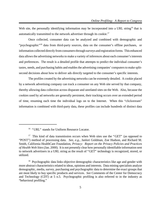Web site, the personally identifying information may be incorporated into a URL string<sup>16</sup> that is automatically transmitted to the network advertiser through its cookie.<sup>17</sup>

Once collected, consumer data can be analyzed and combined with demographic and "psychographic"<sup>18</sup> data from third-party sources, data on the consumer's offline purchases, or information collected directly from consumers through surveys and registration forms. This enhanced data allows the advertising networks to make a variety of inferences about each consumer's interests and preferences. The result is a detailed profile that attempts to predict the individual consumer's tastes, needs, and purchasing habits and enables the advertising companies' computers to make splitsecond decisions about how to deliver ads directly targeted to the consumer's specific interests.

The profiles created by the advertising networks can be extremely detailed. A cookie placed by a network advertising company can track a consumer on any Web site served by that company, thereby allowing data collection across disparate and unrelated sites on the Web. Also, because the cookies used by ad networks are generally persistent, their tracking occurs over an extended period of time, resuming each time the individual logs on to the Internet. When this "clickstream" information is combined with third-party data, these profiles can include hundreds of distinct data

<sup>&</sup>lt;sup>16</sup> "URL" stands for Uniform Resource Locator.

 $17$  This kind of data transmission occurs when Web sites use the "GET" (as opposed to "POST") method of processing data. *See, e.g.*, Janlori Goldman, Zoe Hudson, and Richard M. Smith, California HealthCare Foundation, *Privacy: Report on the Privacy Policies and Practices of Health Web Sites* (Jan. 2000). It is not presently clear how personally identifiable information sent to network advertisers in a URL string as the result of "GET" technology is recognized, stored, or utilized.

<sup>&</sup>lt;sup>18</sup> Psychographic data links objective demographic characteristics like age and gender with more abstract characteristics related to ideas, opinions and interests. Data mining specialists analyze demographic, media, survey, purchasing and psychographic data to determine the exact groups that are most likely to buy specific products and services. *See* Comments of the Center for Democracy and Technology (CDT) at 5 n.5. Psychographic profiling is also referred to in the industry as "behavioral profiling."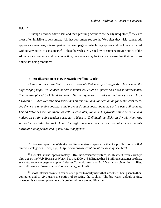fields.<sup>19</sup>

Although network advertisers and their profiling activities are nearly ubiquitous,  $20$  they are most often invisible to consumers. All that consumers see are the Web sites they visit; banner ads appear as a seamless, integral part of the Web page on which they appear and cookies are placed without any notice to consumers.<sup>21</sup> Unless the Web sites visited by consumers provide notice of the ad network's presence and data collection, consumers may be totally unaware that their activities online are being monitored.

#### **B. An Illustration of How Network Profiling Works**

*Online consumer Joe Smith goes to a Web site that sells sporting goods. He clicks on the page for golf bags. While there, he sees a banner ad, which he ignores as it does not interest him. The ad was placed by USAad Network. He then goes to a travel site and enters a search on "Hawaii." USAad Network also serves ads on this site, and Joe sees an ad for rental cars there. Joe then visits an online bookstore and browses through books about the world's best golf courses. USAad Network serves ads there, as well. A week later, Joe visits his favorite online news site, and notices an ad for golf vacation packages in Hawaii. Delighted, he clicks on the ad, which was served by the USAad Network. Later, Joe begins to wonder whether it was a coincidence that this particular ad appeared and, if not, how it happened.*

<sup>&</sup>lt;sup>19</sup> For example, the Web site for Engage states repeatedly that its profiles contain 800 "interest categories." *See, e.g.*, <http://www.engage.com/ press/releases/2qfiscal.htm>.

<sup>20</sup> DoubleClick has approximately 100 million consumer profiles,*see* Heather Green,*Privacy: Outrage on the Web*, BUSINESS WEEK, Feb 14, 2000, at 38; Engage has 52 million consumer profiles, *see* <http://www.engage.com/press/releases/2qfiscal.htm>; and 24/7 Media has 60 million profiles, *see* <http://www.247media.com/connect/adv\_pub.html>.

<sup>&</sup>lt;sup>21</sup> Most Internet browsers can be configured to notify users that a cookie is being sent to their computer and to give users the option of rejecting the cookie. The browsers' default setting, however, is to permit placement of cookies without any notification.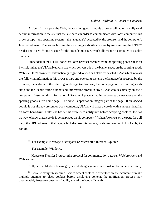At Joe's first stop on the Web, the sporting goods site, his browser will automatically send certain information to the site that the site needs in order to communicate with Joe's computer: his browser type<sup>22</sup> and operating system;<sup>23</sup> the language(s) accepted by the browser; and the computer's Internet address. The server hosting the sporting goods site answers by transmitting the  $HTTP<sup>24</sup>$ header and HTML<sup>25</sup> source code for the site's home page, which allows Joe's computer to display the page.

Embedded in the HTML code that Joe's browser receives from the sporting goods site is an invisible link to the USAad Network site which delivers ads in the banner space on the sporting goods Web site. Joe's browser is automatically triggered to send an HTTP request to USAad which reveals the following information: his browser type and operating system; the language(s) accepted by the browser; the address of the referring Web page (in this case, the home page of the sporting goods site); and the identification number and information stored in any USAad cookies already on Joe's computer. Based on this information, USAad will place an ad in the pre-set banner space on the sporting goods site's home page. The ad will appear as an integral part of the page. If an USAad cookie is not already present on Joe's computer, USAad will place a cookie with a unique identifier on Joe's hard drive. Unless he has set his browser to notify him before accepting cookies, Joe has no way to know that a cookie is being placed on his computer.<sup>26</sup> When Joe clicks on the page for golf bags, the URL address of that page, which discloses its content, is also transmitted to USAad by its cookie.

<sup>25</sup> Hypertext Markup Language (the code/language in which most Web content is created).

 $22$  For example, Netscape's Navigator or Microsoft's Internet Explorer.

 $23$  For example, Windows.

 $24$  Hypertext Transfer Protocol (the protocol for communication between Web browsers and Web servers).

 $26$  Because many sites require users to accept cookies in order to view their content, or make multiple attempts to place cookies before displaying content, the notification process may unacceptably frustrate consumers' ability to surf the Web efficiently.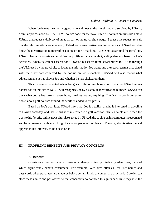When Joe leaves the sporting goods site and goes to the travel site, also serviced by USAad, a similar process occurs. The HTML source code for the travel site will contain an invisible link to USAad that requests delivery of an ad as part of the travel site's page. Because the request reveals that the referring site is travel related, USAad sends an advertisement for rental cars. USAad will also know the identification number of its cookie on Joe's machine. As Joe moves around the travel site, USAad checks his cookie and modifies the profile associated with it, adding elements based on Joe's activities. When Joe enters a search for "Hawaii," his search term is transmitted to USAad through the URL used by the travel site to locate the information Joe wants and the search term is associated with the other data collected by the cookie on Joe's machine. USAad will also record what advertisements it has shown Joe and whether he has clicked on them.

This process is repeated when Joe goes to the online bookstore. Because USAad serves banner ads on this site as well, it will recognize Joe by his cookie identification number. USAad can track what books Joe looks at, even though he does not buy anything. The fact that Joe browsed for books about golf courses around the world is added to his profile.

Based on Joe's activities, USAad infers that Joe is a golfer, that he is interested in traveling to Hawaii someday, and that he might be interested in a golf vacation. Thus, a week later, when Joe goes to his favorite online news site, also served by USAad, the cookie on his computer is recognized and he is presented with an ad for golf vacation packages in Hawaii. The ad grabs his attention and appeals to his interests, so he clicks on it.

#### **III. PROFILING BENEFITS AND PRIVACY CONCERNS**

#### **A. Benefits**

Cookies are used for many purposes other than profiling by third-party advertisers, many of which significantly benefit consumers. For example, Web sites often ask for user names and passwords when purchases are made or before certain kinds of content are provided. Cookies can store these names and passwords so that consumers do not need to sign in each time they visit the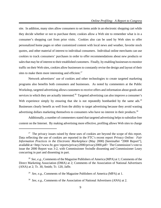site. In addition, many sites allow consumers to set items aside in an electronic shopping cart while they decide whether or not to purchase them; cookies allow a Web site to remember what is in a consumer's shopping cart from prior visits. Cookies also can be used by Web sites to offer personalized home pages or other customized content with local news and weather, favorite stock quotes, and other material of interest to individual consumers. Individual online merchants can use cookies to track consumers' purchases in order to offer recommendations about new products or sales that may be of interest to their established customers. Finally, by enabling businesses to monitor traffic on their Web sites, cookies allow businesses to constantly revise the design and layout of their sites to make them more interesting and efficient.<sup>27</sup>

Network advertisers' use of cookies and other technologies to create targeted marketing programs also benefits both consumers and businesses. As noted by commenters at the Public Workshop, targeted advertising allows customers to receive offers and information about goods and services in which they are actually interested.<sup>28</sup> Targeted advertising can also improve a consumer's Web experience simply by ensuring that she is not repeatedly bombarded by the same ads.<sup>29</sup> Businesses clearly benefit as well from the ability to target advertising because they avoid wasting advertising dollars marketing themselves to consumers who have no interest in their products.<sup>30</sup>

Additionally, a number of commenters stated that targeted advertising helps to subsidize free content on the Internet. By making advertising more effective, profiling allows Web sites to charge

 $27$  The privacy issues raised by these uses of cookies are beyond the scope of this report. Data reflecting the use of cookies are reported in the FTC's recent report *Privacy Online: Fair Information Practices in the Electronic Marketplace* (May 2000) [hereinafter "2000 Report"], available at <http://www.ftc.gov/ reports/privacy2000/privacy2000.pdf> The Commission's vote to issue the 2000 Report was 3-2, with Commissioner Swindle dissenting and Commissioner Leary concurring in part and dissenting in part.

<sup>28</sup> *See, e.g.*, Comments of the Magazine Publishers of America (MPA) at 1; Comments of the Direct Marketing Association (DMA) at 2; Comments of the Association of National Advertisers (ANA) at 2; Tr. 30, Smith; Tr. 120, Jaffe.

<sup>&</sup>lt;sup>29</sup> See, e.g., Comments of the Magazine Publishers of America (MPA) at 1.

<sup>&</sup>lt;sup>30</sup> See, e.g., Comments of the Association of National Advertisers (ANA) at 2.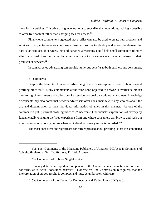more for advertising. This advertising revenue helps to subsidize their operations, making it possible to offer free content rather than charging fees for access. $31$ 

Finally, one commenter suggested that profiles can also be used to create new products and services. First, entrepreneurs could use consumer profiles to identify and assess the demand for particular products or services. Second, targeted advertising could help small companies to more effectively break into the market by advertising only to consumers who have an interest in their products or services.<sup>32</sup>

In sum, targeted advertising can provide numerous benefits to both business and consumers.

#### **B. Concerns**

Despite the benefits of targeted advertising, there is widespread concern about current profiling practices.<sup>33</sup> Many commenters at the Workshop objected to network advertisers' hidden monitoring of consumers and collection of extensive personal data without consumers' knowledge or consent; they also noted that network advertisers offer consumers few, if any, choices about the use and dissemination of their individual information obtained in this manner. As one of the commenters put it, current profiling practices "undermine[] individuals' expectations of privacy by fundamentally changing the Web experience from one where consumers can browse and seek out information anonymously, to one where an individual's every move is recorded." 34

The most consistent and significant concern expressed about profiling is that it is conducted

<sup>31</sup> *See, e.g.*, Comments of the Magazine Publishers of America (MPA) at 1; Comments of Solveig Singleton at 3-4; Tr. 20, Jaye; Tr. 124, Aronson.

<sup>&</sup>lt;sup>32</sup> See Comments of Solveig Singleton at 4-5.

<sup>&</sup>lt;sup>33</sup> Survey data is an important component in the Commission's evaluation of consumer concerns, as is actual consumer behavior. Nonetheless, the Commission recognizes that the interpretation of survey results is complex and must be undertaken with care.

<sup>&</sup>lt;sup>34</sup> See Comments of the Center for Democracy and Technology (CDT) at 3.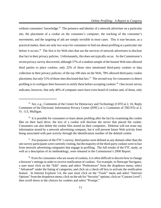without consumers' knowledge.<sup>35</sup> The presence and identity of a network advertiser on a particular site, the placement of a cookie on the consumer's computer, the tracking of the consumer's movements, and the targeting of ads are simply invisible in most cases. This is true because, as a practical matter, there are only two ways for consumers to find out about profiling at a particular site before it occurs.<sup>36</sup> The first is for Web sites that use the services of network advertisers to disclose that fact in their privacy policies. Unfortunately, this does not typically occur. As the Commission's recent privacy survey discovered, although 57% of a random sample of the busiest Web sites allowed third parties to place cookies, only 22% of those sites mentioned third-party cookies or data collection in their privacy policies; of the top 100 sites on the Web, 78% allowed third-party cookie placement, but only 51% of those sites disclosed that fact.<sup>37</sup> The second way for consumers to detect profiling is to configure their browsers to notify them before accepting cookies.<sup>38</sup> One recent survey indicates, however, that only 40% of computer users have even heard of cookies and, of those, only

<sup>35</sup> *See, e.g.*, Comments of the Center for Democracy and Technology (CDT) at 2, 16; Reply Comments of the Electronic Information Privacy Center (EPIC) at 1; Comments of TRUSTe at 2; Tr. 113, Mulligan.

<sup>&</sup>lt;sup>36</sup> It is possible for consumers to learn about profiling after the fact by examining the cookie files on their hard drive; the text of a cookie will disclose the server that placed the cookie. Consumers can also delete the cookie files stored on their computers. Deletion will not erase any information stored by a network advertising company, but it will prevent future Web activity from being associated with past activity through the identification number of the deleted cookie.

 $37$  For purposes of the FTC's survey, third parties were defined as any domain other than the one survey participants were currently visiting, but the majority of the third-party cookies were in fact from network advertising companies that engage in profiling. The full results of the FTC study, as well as a description of its methodology, were released in the Commission's 2000 Report.

 $38$  Even for consumers who are aware of cookies, it is often difficult to discern how to change a browser's settings in order to receive notification of cookies. For example, in Netscape Navigator, a user must click on the "Edit" menu and select "Preferences" from the dropdown menu; select "Advanced" under the listing of categories; and click on a check-off box to activate the notification feature. In Internet Explorer 5.0, the user must click on the "Tools" menu and select "Internet Options" from the dropdown menu; click on the tab for "Security" options; click on "Custom Level"; then scroll down to the choices for cookies and select "Prompt."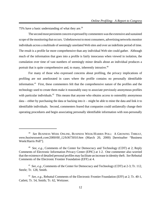75% have a basic understanding of what they are. $39$ 

The second most persistent concern expressed by commenters was the extensive and sustained scope of the monitoring that occurs. Unbeknownst to most consumers, advertising networks monitor individuals across a multitude of seemingly unrelated Web sites and over an indefinite period of time. The result is a profile far more comprehensive than any individual Web site could gather. Although much of the information that goes into a profile is fairly innocuous when viewed in isolation, the cumulation over time of vast numbers of seemingly minor details about an individual produces a portrait that is quite comprehensive and, to many, inherently intrusive.<sup>40</sup>

For many of those who expressed concerns about profiling, the privacy implications of profiling are not ameliorated in cases where the profile contains no personally identifiable information.<sup>41</sup> First, these commenters felt that the comprehensive nature of the profiles and the technology used to create them make it reasonably easy to associate previously anonymous profiles with particular individuals.<sup>42</sup> This means that anyone who obtains access to ostensibly anonymous data – either by purchasing the data or hacking into it – might be able to mine the data and link it to identifiable individuals. Second, commenters feared that companies could unilaterally change their operating procedures and begin associating personally identifiable information with non-personally

<sup>&</sup>lt;sup>39</sup> *See* BUSINESS WEEK ONLINE, BUSINESS WEEK/HARRIS POLL: A GROWING THREAT, *www.businessweek.com/2000/00\_12/b3673010.htm* (March 20, 2000) [hereinafter "Business Week/Harris Poll"].

<sup>40</sup> *See, e.g.*, Comments of the Center for Democracy and Technology (CDT) at 2; Reply Comments of Electronic Information Privacy Center (EPIC) at 1-2. One commenter also worried that the existence of detailed personal profiles may facilitate an increase in identity theft. *See* Rebuttal Comments of the Electronic Frontier Foundation (EFF) at 4.

<sup>&</sup>lt;sup>41</sup> See, e.g., Comments of the Center for Democracy and Technology (CDT) at 2-3; Tr. 112, Steele; Tr. 128, Smith.

<sup>&</sup>lt;sup>42</sup> See, e.g., Rebuttal Comments of the Electronic Frontier Foundation (EFF) at 2; Tr. 40-1, Catlett; Tr. 54, Smith; Tr. 62, Weitzner.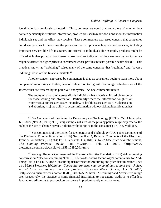identifiable data previously collected.<sup>43</sup> Third, commenters noted that, regardless of whether they contain personally identifiable information, profiles are used to make decisions about the information individuals see and the offers they receive. These commenters expressed concern that companies could use profiles to determine the prices and terms upon which goods and services, including important services like life insurance, are offered to individuals (for example, products might be offered at higher prices to consumers whose profiles indicate that they are wealthy, or insurance might be offered at higher prices to consumers whose profiles indicate possible health risks).<sup>44</sup> This practice, known as "weblining," raises many of the same concerns that "redlining" and "reverse redlining" do in offline financial markets.<sup>45</sup>

Another concern expressed by commenters is that, as consumers begin to learn more about companies' monitoring activities, fear of online monitoring will discourage valuable uses of the Internet that are fostered by its perceived anonymity. As one commenter noted:

The anonymity that the Internet affords individuals has made it an incredible resource for those seeking out information. Particularly where the information sought is on controversial topics such as sex, sexuality, or health issues such as HIV, depression, and abortion; [sic] the ability to access information without risking identification has

<sup>&</sup>lt;sup>43</sup> See Comments of the Center for Democracy and Technology (CDT) at 2-3; Christopher K. Ridder (Nov. 30, 1999) at 6 (listing examples of sites whose privacy policies explicitly reserve the right of the site to change privacy policies without notice to the consumer); Tr. 158, Mulligan.

<sup>&</sup>lt;sup>44</sup> See Comments of the Center for Democracy and Technology (CDT) at 3; Comments of the Electronic Frontier Foundation (EFF) Session II at 2; Rebuttal Comments of the Electronic Frontier Foundation (EFF) at 4; Tr. 81, Feena; Tr. 114, Hill; Tr. 146-7, Steele; *see also* John Simons, *The Coming Privacy Divide*, THE STANDARD, Feb. 21, 2000, <http://www. thestandard.com/article/display/1,1153,10880,00.html>.

<sup>&</sup>lt;sup>45</sup> See, e.g., Rebuttal Comments of the Electronic Frontier Foundation (EFF) at 4 (expressing concern about "electronic redlining"); Tr. 81, Feena (describing technology's potential use for "redlining" [sic]); Tr. 146-7, Steele (describing risk of "electronic redlining and price discrimination"); *see also* Marcia Stepanek, *Weblining: Companies are using your personal data to limit your choices – and force you to pay more for products*, BUSINESS WEEK ONLINE, Apr. 3, 2000, <http://www.businessweek.com/2000/00\_14/b3675027.htm>. "Redlining" and "reverse redlining" are, respectively, the practice of some financial institutions to not extend credit or to offer less favorable credit terms to prospecitve borrowers in predominantly minority areas.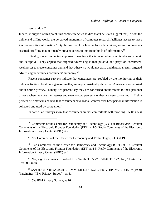been critical.<sup>46</sup>

Indeed, in support of this point, this commenter cites studies that it believes suggest that, in both the online and offline world, the perceived anonymity of computer research facilitates access to these kinds of sensitive information.<sup>47</sup> By chilling use of the Internet for such inquiries, several commenters asserted, profiling may ultimately prevent access to important kinds of information.<sup>48</sup>

 Finally, some commenters expressed the opinion that targeted advertising is inherently unfair and deceptive. They argued that targeted advertising is manipulative and preys on consumers' weaknesses to create consumer demand that otherwise would not exist, and that, as a result, targeted advertising undermines consumers' autonomy.<sup>49</sup>

Recent consumer surveys indicate that consumers are troubled by the monitoring of their online activities. First, as a general matter, surveys consistently show that Americans are worried about online privacy. Ninety-two percent say they are concerned about threats to their personal privacy when they use the Internet and seventy-two percent say they are very concerned.<sup>50</sup> Eighty percent of Americans believe that consumers have lost all control over how personal information is collected and used by companies.<sup>51</sup>

In particular, surveys show that consumers are not comfortable with profiling. A *Business*

<sup>46</sup> Comments of the Center for Democracy and Technology (CDT) at 19; *see also* Rebuttal Comments of the Electronic Frontier Foundation (EFF) at 4-5; Reply Comments of the Electronic Information Privacy Center (EPIC) at 2.

<sup>&</sup>lt;sup>47</sup> See Comments of the Center for Democracy and Technology (CDT) at 19.

<sup>48</sup> *See* Comments of the Center for Democracy and Technology (CDT) at 19; Rebuttal Comments of the Electronic Frontier Foundation (EFF) at 4-5; Reply Comments of the Electronic Information Privacy Center (EPIC) at 2.

<sup>49</sup> *See, e.g.*, Comments of Robert Ellis Smith; Tr. 56-7, Catlett; Tr. 122, 148, Chester; Tr. 129-30, Smith.

<sup>50</sup> *See* LOUISHARRIS&ASSOC.,IBMMULTI-NATIONALCONSUMER PRIVACY SURVEY (1999) [hereinafter "IBM Privacy Survey"], at 81.

<sup>51</sup> *See* IBM Privacy Survey, at 76.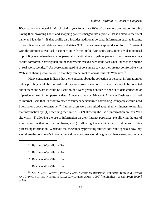*Week* survey conducted in March of this year found that 89% of consumers are not comfortable having their browsing habits and shopping patterns merged into a profile that is linked to their real name and identity.<sup>52</sup> If that profile also includes additional personal information such as income, driver's license, credit data and medical status, 95% of consumers express discomfort.<sup>53</sup> Consistent with the comments received in connection with the Public Workshop, consumers are also opposed to profiling even when data are not personally identifiable: sixty-three percent of consumers say they are not comfortable having their online movements tracked even if the data is not linked to their name or real-world identity.<sup>54</sup> An overwhelming 91% of consumers say that they are not comfortable with Web sites sharing information so that they can be tracked across multiple Web sites.<sup>55</sup>

Many consumers indicate that their concerns about the collection of personal information for online profiling would be diminished if they were given clear notice of what data would be collected about them and what it would be used for, and were given a choice to opt-out of data collection or of particular uses of their personal data. A recent survey by Privacy & American Business explained to Internet users that, in order to offer consumers personalized advertising, companies would need information about the consumer.<sup>56</sup> Internet users were then asked about their willingness to provide that information by: (1) describing their interests; (2) allowing the use of information on their Web site visits; (3) allowing the use of information on their Internet purchases; (4) allowing the use of information on their offline purchases; and (5) allowing the combination of online and offline purchasing information. When told that the company providing tailored ads would spell out how they would use the consumer's information and the consumer would be given a chance to opt-out of any

- <sup>52</sup> Business Week/Harris Poll.
- <sup>53</sup> Business Week/Harris Poll.
- <sup>54</sup> Business Week/Harris Poll.
- <sup>55</sup> Business Week/Harris Poll.

56 *See* ALAN F. WESTIN, PRIVACY AND AMERICAN BUSINESS, PERSONALIZED MARKETING ANDPRIVACY ON THEINTERNET: WHATCONSUMERS WANT (1999) [hereinafter "Westin/PAB 1999"] at 8-9.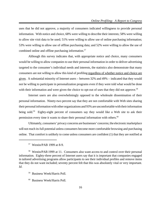uses that he did not approve, a majority of consumers indicated willingness to provide personal information. With notice and choice, 68% were willing to describe their interests; 58% were willing to allow site visit data to be used; 51% were willing to allow use of online purchasing information; 53% were willing to allow use of offline purchasing data; and 52% were willing to allow the use of combined online and offline purchasing information.<sup>57</sup>

Although this survey indicates that, with appropriate notice and choice, many consumers would be willing to allow companies to use their personal information in order to deliver advertising targeted to the consumer's individual needs and interests, the statistics also demonstrate that many consumers are not willing to allow this kind of profiling regardless of whether notice and choice are given. A substantial minority of Internet users – between 32% and 49% – indicated that they would not be willing to participate in personalization programs even if they were told what would be done with their information and were given the choice to opt-out of uses that they did not approve.<sup>58</sup>

Internet users are also overwhelmingly opposed to the wholesale dissemination of their personal information. Ninety-two percent say that they are not comfortable with Web sites sharing their personal information with other organizations and 93% are uncomfortable with their information being sold.<sup>59</sup> Eighty-eight percent of consumers say they would like a Web site to ask their permission every time it wants to share their personal information with others.<sup>60</sup>

Ultimately, consumers' privacy concerns are businesses' concerns; the electronic marketplace will not reach its full potential unless consumers become more comfortable browsing and purchasing online. That comfort is unlikely to come unless consumers are confident (1) that they are notified at

- <sup>59</sup> Business Week/Harris Poll.
- <sup>60</sup> Business Week/Harris Poll.

<sup>57</sup> Westin/PAB 1999 at 8-9.

<sup>58</sup> Westin/PAB 1999 at 11. Consumers also want access to and control over their personal information. Eighty-three percent of Internet users say that it is important that companies engaged in tailored advertising programs allow participants to see their individual profiles and remove items that they do not want included; seventy percent felt that this was absolutely vital or very important. *Id*.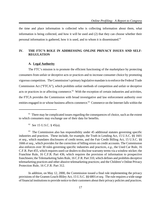the time and place information is collected who is collecting information about them, what information is being collected, and how it will be used and (2) that they can choose whether their personal information is gathered, how it is used, and to whom it is disseminated.<sup>61</sup>

# **IV. THE FTC'S ROLE IN ADDRESSING ONLINE PRIVACY ISSUES AND SELF-REGULATION**

#### **A. Legal Authority**

The FTC's mission is to promote the efficient functioning of the marketplace by protecting consumers from unfair or deceptive acts or practices and to increase consumer choice by promoting vigorous competition. The Commission's primary legislative mandate is to enforce the Federal Trade Commission Act ("FTCA"), which prohibits unfair methods of competition and unfair or deceptive acts or practices in or affecting commerce. $62$  With the exception of certain industries and activities, the FTCA provides the Commission with broad investigative and law enforcement authority over entities engaged in or whose business affects commerce.<sup>63</sup> Commerce on the Internet falls within the

62 *See* 15 U.S.C. § 45(a).

 $63$  The Commission also has responsibility under 45 additional statutes governing specific industries and practices. These include, for example, the Truth in Lending Act, 15 U.S.C. §§ 1601 *et seq*., which mandates disclosures of credit terms, and the Fair Credit Billing Act, 15 U.S.C. §§ 1666 *et seq.*, which provides for the correction of billing errors on credit accounts. The Commission also enforces over 30 rules governing specific industries and practices, *e.g.,* the Used Car Rule, 16 C.F.R. Part 455, which requires used car dealers to disclose warranty terms via a window sticker; the Franchise Rule, 16 C.F.R. Part 436, which requires the provision of information to prospective franchisees; the Telemarketing Sales Rule, 16 C.F.R. Part 310, which defines and prohibits deceptive telemarketing practices and other abusive telemarketing practices; and the Children's Online Privacy Protection Rule, 16 C.F.R. Part 312.

In addition, on May 12, 2000, the Commission issued a final rule implementing the privacy provisions of the Gramm-Leach-Bliley Act, 15 U.S.C. §§ 6801 *et seq.* The rule requires a wide range of financial institutions to provide notice to their customers about their privacy policies and practices.

 $61$  There may be complicated issues regarding the consequences of choice, such as the extent to which consumers may exchange use of their data for benefits.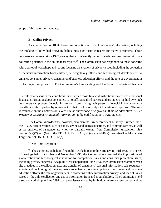scope of this statutory mandate.

#### **B. Online Privacy**

As noted in Section III.B., the online collection and use of consumers' information, including the tracking of individual browsing habits, raise significant concerns for many consumers. These concerns are not new; since 1997, surveys have consistently demonstrated consumer unease with data collection practices in the online marketplace.<sup>64</sup> The Commission has responded to these concerns with a series of workshops and reports focusing on a variety of privacy issues, including the collection of personal information from children, self-regulatory efforts and technological developments to enhance consumer privacy, consumer and business education efforts, and the role of government in protecting online privacy.<sup>65</sup> The Commission's longstanding goal has been to understand this new

 The Commission does not, however, have criminal law enforcement authority. Further, under the FTCA, certain entities, such as banks, savings and loan associations, and common carriers, as well as the business of insurance, are wholly or partially exempt from Commission jurisdiction. *See* Section 5(a)(2) and (6)a of the FTC Act, 15 U.S.C. § 45(a)(2) and 46(a). *See also* The McCarran-Ferguson Act, 15 U.S.C. § 1012(b).

64 *See* 1998 Report at 3.

<sup>65</sup> The Commission held its first public workshop on online privacy in April 1995. In a series of hearings held in October and November 1995, the Commission examined the implications of globalization and technological innovation for competition issues and consumer protection issues, including privacy concerns. At a public workshop held in June 1996, the Commission examined Web site practices in the collection, use, and transfer of consumers' personal information; self-regulatory efforts and technological developments to enhance consumer privacy; consumer and business education efforts; the role of government in protecting online information privacy; and special issues raised by the online collection and use of information from and about children. The Commission held a second workshop in June 1997 to explore issues raised by individual reference services, as well as

The rule also describes the conditions under which those financial institutions may disclose personal financial information about consumers to nonaffiliated third parties, and provides a method by which consumers can prevent financial institutions from sharing their personal financial information with nonaffiliated third parties by opting out of that disclosure, subject to certain exceptions. The rule is available on the Commission's Web site at <http://www.ftc.gov/ os/2000/05/index.htm#12. *See Privacy of Consumer Financial Information*, to be codified at 16 C.F.R. pt. 313.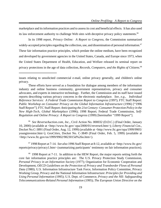marketplace and its information practices and to assess its cost and beneficial effects. It has also used its law enforcement authority to challenge Web sites with deceptive privacy policy statements.<sup>66</sup>

In its 1998 report, *Privacy Online: A Report to Congress*, the Commission summarized widely-accepted principles regarding the collection, use, and dissemination of personal information.<sup>67</sup> These fair information practice principles, which predate the online medium, have been recognized and developed by government agencies in the United States, Canada, and Europe since 1973, when the United States Department of Health, Education, and Welfare released its seminal report on privacy protections in the age of data collection, *Records, Computers, and the Rights of Citizens*. 68

66 *See ReverseAuction.com, Inc.*, Civil Action No. 000032 (D.D.C.) (Final Order, January 10, 2000) (available at <http://www.ftc.gov/ opa/2000/01/reverse4.htm>); *Liberty Financial Cos.*, Docket No.C-3891 (Final Order, Aug. 12, 1999) (available at <http://www.ftc.gov/opa/1999/9905/ younginvestor.htm>); *GeoCities*, Docket No. C-3849 (Final Order, Feb. 5, 1999) (available at <http://www.ftc.gov/os/1999/9902/9823015d%26o.htm>).

<sup>67</sup> 1998 Report at 7-14. *See also* 1996 Staff Report at 8-12, available at <http://www.ftc.gov/ reports/privacy/privacy1.htm> (summarizing participants' testimony on fair information practices).

<sup>68</sup> 1998 Report at 7-11. In addition to the HEW Report, the major reports setting forth the core fair information practice principles are: The U.S. Privacy Protection Study Commission, *Personal Privacy in an Information Society* (1977); Organization for Economic Cooperation and Development, *OECD Guidelines on the Protection of Privacy and Transborder Flows of Personal Data* (1980); U.S. Information Infrastructure Task Force, Information Policy Committee, Privacy Working Group, Privacy and the National Information Infrastructure: *Principles for Providing and Using Personal Information* (1995); U.S. Dept. of Commerce, *Privacy and the NII: Safeguarding Telecommunications-Related Personal Information* (1995); *The European Union Directive on the*

issues relating to unsolicited commercial e-mail, online privacy generally, and children's online privacy.

These efforts have served as a foundation for dialogue among members of the information industry and online business community, government representatives, privacy and consumer advocates, and experts in interactive technology. Further, the Commission and its staff have issued reports describing various privacy concerns in the electronic marketplace. *See, e.g.*, *Individual Reference Services: A Federal Trade Commission Report to Congress* (1997); FTC Staff Report: *Public Workshop on Consumer Privacy on the Global Information Infrastructure* (1996) ["1996 Staff Report"]; FTC Staff Report: *Anticipating the 21st Century: Consumer Protection Policy in the New High-Tech, Global Marketplace* (1996); 1998 Report; Federal Trade Commission, *Self-Regulation and Online Privacy: A Report to Congress* (1999) [hereinafter "1999 Report"].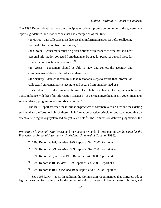The 1998 Report identified the core principles of privacy protection common to the government reports, guidelines, and model codes that had emerged as of that time:

**(1)Notice** – data collectors must disclose their information practices before collecting personal information from consumers;<sup>69</sup>

**(2) Choice** – consumers must be given options with respect to whether and how personal information collected from them may be used for purposes beyond those for which the information was provided; $\frac{70}{2}$ 

**(3) Access** – consumers should be able to view and contest the accuracy and completeness of data collected about them; $71$  and

**(4) Security** – data collectors must take reasonable steps to assure that information collected from consumers is accurate and secure from unauthorized use.<sup>72</sup>

It also identified Enforcement – the use of a reliable mechanism to impose sanctions for noncompliance with these fair information practices – as a critical ingredient in any governmental or self-regulatory program to ensure privacy online.<sup>73</sup>

The 1998 Report assessed the information practices of commercial Web sites and the existing self-regulatory efforts in light of these fair information practice principles and concluded that an effective self-regulatory system had not yet taken hold.<sup>74</sup> The Commission deferred judgment on the

- <sup>72</sup> 1998 Report at 10; *see also* 1999 Report at 3-4; 2000 Report at 4.
- <sup>73</sup> 1998 Report at 10-11; *see also* 1999 Report at 3-4; 2000 Report at 4.

<sup>74</sup> See 1998 REPORT at 41. In addition, the Commission recommended that Congress adopt legislation setting forth standards for the online collection of personal information from children; and

*Protection of Personal Data* (1995); and the Canadian Standards Association, *Model Code for the Protection of Personal Information: A National Standard of Canada* (1996).

<sup>69</sup> 1998 Report at 7-8; *see also* 1999 Report at 3-4; 2000 Report at 4.

<sup>70</sup> 1998 Report at 8-9; *see also* 1999 Report at 3-4; 2000 Report at 4.

<sup>71</sup> 1998 Report at 9; *see also* 1999 Report at 3-4; 2000 Report at 4.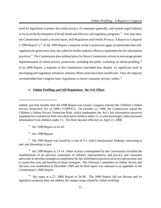need for legislation to protect the online privacy of consumers generally, and instead urged industry to focus on the development of broad-based and effective self-regulatory programs.<sup>75</sup> One year later, the Commission issued a second report, *Self-Regulation and Online Privacy: A Report to Congress* ("1999 Report").<sup>76</sup> In the 1999 Report, a majority of the Commission again recommended that selfregulation be given more time, but called for further industry efforts to implement the fair information practices.<sup>77</sup> The Commission also outlined plans for future Commission actions to encourage greater implementation of online privacy protections, including the public workshop on online profiling.<sup>78</sup> In its 2000 Report, a majority of the Commission concluded that, despite its significant work in developing self-regulatory initiatives, industry efforts alone have been insufficient. Thus, the majority recommended that Congress enact legislation to ensure consumer privacy online.<sup>79</sup>

### **C. Online Profiling and Self Regulation: the NAI Effort**

75 *See* 1998 Report at 41-42.

76 *See* 1999 Report.

 $77$  The 1999 Report was issued by a vote of 3-1, with Commissioner Anthony concurring in part and dissenting in part.

<sup>78</sup> *See* 1999 Report at 13-14. Other actions contemplated by the Commission included the establishment of an advisory committee of industry representatives and privacy and consumer advocates to develop strategies to implement the fair information practices of access and security and to assess the costs and benefits of those strategies. The Advisory Committee on Online Access and Security was established in December 1999 and its final report was released as an appendix to the Commission's 2000 Report.

<sup>79</sup> *See* supra at n.27; 2000 Report at 34-38. The 2000 Report did not discuss and its legislative proposal does not address the unique issues raised by online profiling.

indeed, just four months after the 1998 Report was issued, Congress enacted the Children's Online Privacy Protection Act of 1998 ("COPPA"). On October 21, 1999, the Commission issued the Children's Online Privacy Protection Rule, which implements the Act's fair information practices standards for commercial Web sites directed to children under 13, or who knowingly collect personal information from children under 13. The Rule became effective on April 21, 2000.